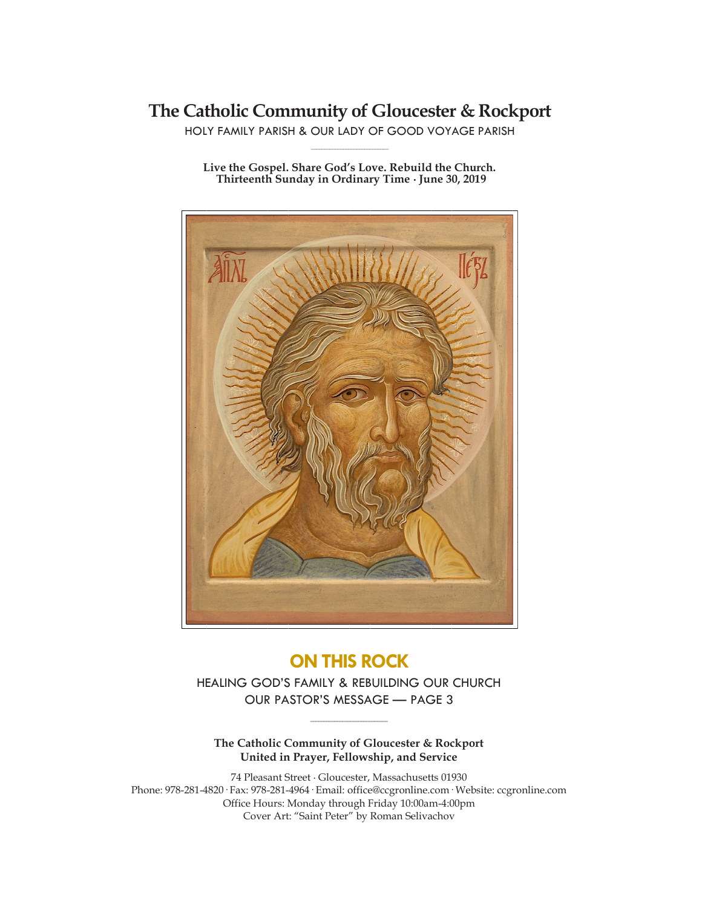## **The Catholic Community of Gloucester & Rockport**

HOLY FAMILY PARISH & OUR LADY OF GOOD VOYAGE PARISH **\_\_\_\_\_\_\_\_\_\_\_\_\_\_\_\_\_\_\_\_\_\_\_\_\_\_\_\_\_**

**Live the Gospel. Share God's Love. Rebuild the Church. Thirteenth Sunday in Ordinary Time ∙ June 30, 2019**



## **ON THIS ROCK**

HEALING GOD'S FAMILY & REBUILDING OUR CHURCH OUR PASTOR'S MESSAGE — PAGE 3

**\_\_\_\_\_\_\_\_\_\_\_\_\_\_\_\_\_\_\_\_\_\_\_\_\_\_\_\_\_**

**The Catholic Community of Gloucester & Rockport United in Prayer, Fellowship, and Service**

74 Pleasant Street ∙ Gloucester, Massachusetts 01930 Phone: 978-281-4820· Fax: 978-281-4964· Email: office@ccgronline.com· Website: ccgronline.com Office Hours: Monday through Friday 10:00am-4:00pm Cover Art: "Saint Peter" by Roman Selivachov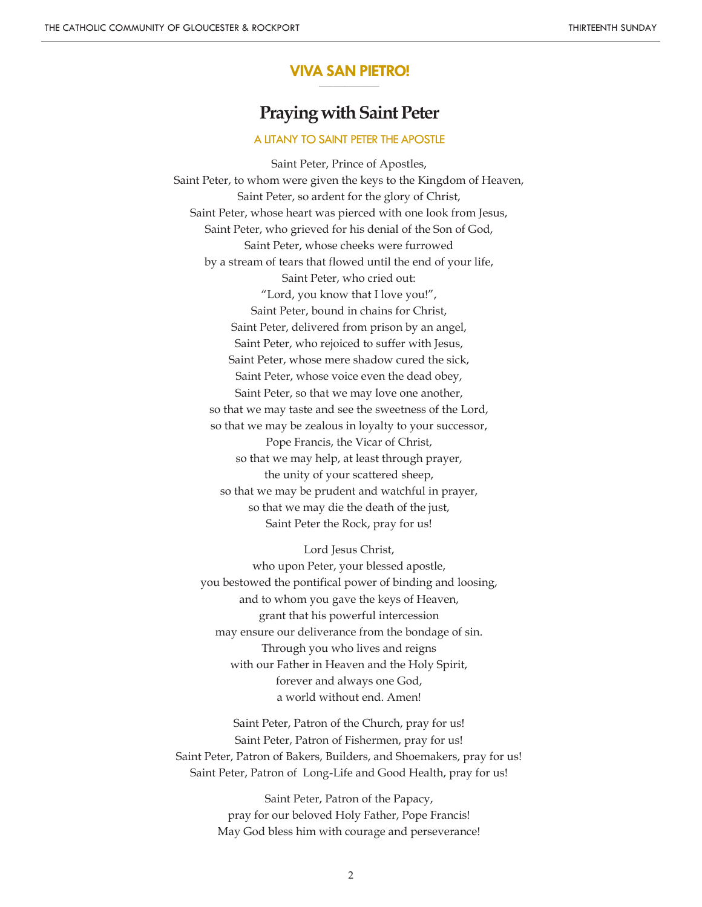#### **VIVA SAN PIETRO! \_\_\_\_\_\_\_\_\_\_\_\_\_\_\_\_\_\_\_\_\_**

# **Praying with Saint Peter**

#### A LITANY TO SAINT PETER THE APOSTLE

Saint Peter, Prince of Apostles, Saint Peter, to whom were given the keys to the Kingdom of Heaven, Saint Peter, so ardent for the glory of Christ, Saint Peter, whose heart was pierced with one look from Jesus, Saint Peter, who grieved for his denial of the Son of God, Saint Peter, whose cheeks were furrowed by a stream of tears that flowed until the end of your life, Saint Peter, who cried out: "Lord, you know that I love you!", Saint Peter, bound in chains for Christ, Saint Peter, delivered from prison by an angel, Saint Peter, who rejoiced to suffer with Jesus, Saint Peter, whose mere shadow cured the sick, Saint Peter, whose voice even the dead obey, Saint Peter, so that we may love one another, so that we may taste and see the sweetness of the Lord, so that we may be zealous in loyalty to your successor, Pope Francis, the Vicar of Christ, so that we may help, at least through prayer, the unity of your scattered sheep, so that we may be prudent and watchful in prayer, so that we may die the death of the just, Saint Peter the Rock, pray for us!

Lord Jesus Christ, who upon Peter, your blessed apostle, you bestowed the pontifical power of binding and loosing, and to whom you gave the keys of Heaven, grant that his powerful intercession may ensure our deliverance from the bondage of sin. Through you who lives and reigns with our Father in Heaven and the Holy Spirit, forever and always one God, a world without end. Amen!

Saint Peter, Patron of the Church, pray for us! Saint Peter, Patron of Fishermen, pray for us! Saint Peter, Patron of Bakers, Builders, and Shoemakers, pray for us! Saint Peter, Patron of Long-Life and Good Health, pray for us!

> Saint Peter, Patron of the Papacy, pray for our beloved Holy Father, Pope Francis! May God bless him with courage and perseverance!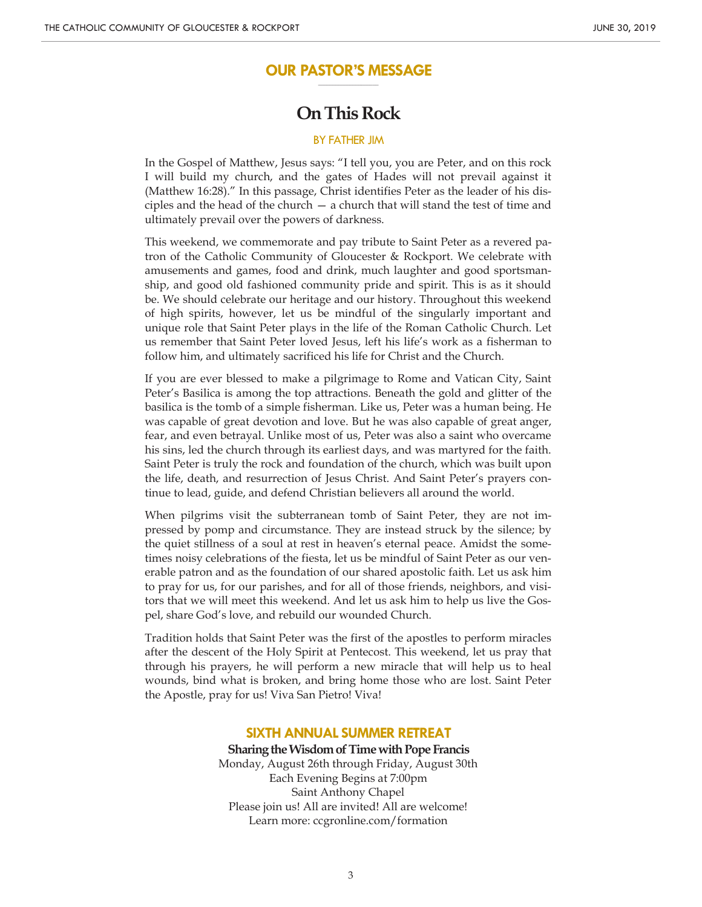#### **OUR PASTOR'S MESSAGE \_\_\_\_\_\_\_\_\_\_\_\_\_\_\_\_\_\_\_\_\_**

## **On This Rock**

#### BY FATHER JIM

In the Gospel of Matthew, Jesus says: "I tell you, you are Peter, and on this rock I will build my church, and the gates of Hades will not prevail against it (Matthew 16:28)." In this passage, Christ identifies Peter as the leader of his disciples and the head of the church  $-$  a church that will stand the test of time and ultimately prevail over the powers of darkness.

This weekend, we commemorate and pay tribute to Saint Peter as a revered patron of the Catholic Community of Gloucester & Rockport. We celebrate with amusements and games, food and drink, much laughter and good sportsmanship, and good old fashioned community pride and spirit. This is as it should be. We should celebrate our heritage and our history. Throughout this weekend of high spirits, however, let us be mindful of the singularly important and unique role that Saint Peter plays in the life of the Roman Catholic Church. Let us remember that Saint Peter loved Jesus, left his life's work as a fisherman to follow him, and ultimately sacrificed his life for Christ and the Church.

If you are ever blessed to make a pilgrimage to Rome and Vatican City, Saint Peter's Basilica is among the top attractions. Beneath the gold and glitter of the basilica is the tomb of a simple fisherman. Like us, Peter was a human being. He was capable of great devotion and love. But he was also capable of great anger, fear, and even betrayal. Unlike most of us, Peter was also a saint who overcame his sins, led the church through its earliest days, and was martyred for the faith. Saint Peter is truly the rock and foundation of the church, which was built upon the life, death, and resurrection of Jesus Christ. And Saint Peter's prayers continue to lead, guide, and defend Christian believers all around the world.

When pilgrims visit the subterranean tomb of Saint Peter, they are not impressed by pomp and circumstance. They are instead struck by the silence; by the quiet stillness of a soul at rest in heaven's eternal peace. Amidst the sometimes noisy celebrations of the fiesta, let us be mindful of Saint Peter as our venerable patron and as the foundation of our shared apostolic faith. Let us ask him to pray for us, for our parishes, and for all of those friends, neighbors, and visitors that we will meet this weekend. And let us ask him to help us live the Gospel, share God's love, and rebuild our wounded Church.

Tradition holds that Saint Peter was the first of the apostles to perform miracles after the descent of the Holy Spirit at Pentecost. This weekend, let us pray that through his prayers, he will perform a new miracle that will help us to heal wounds, bind what is broken, and bring home those who are lost. Saint Peter the Apostle, pray for us! Viva San Pietro! Viva!

#### **SIXTH ANNUAL SUMMER RETREAT**

**Sharing the Wisdom of Time with Pope Francis** Monday, August 26th through Friday, August 30th Each Evening Begins at 7:00pm Saint Anthony Chapel Please join us! All are invited! All are welcome! Learn more: ccgronline.com/formation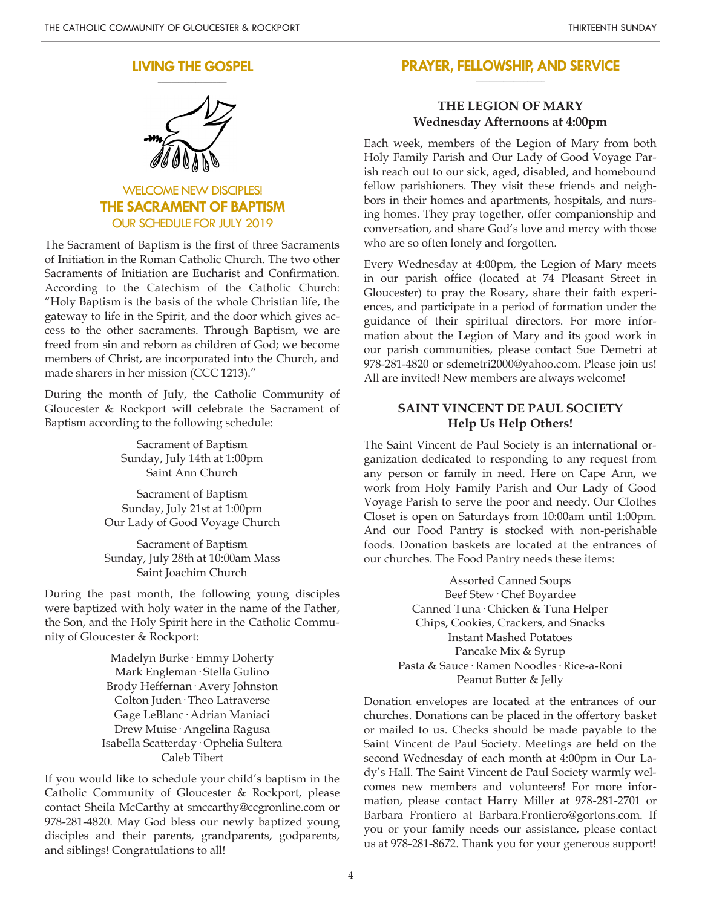#### **LIVING THE GOSPEL \_\_\_\_\_\_\_\_\_\_\_\_\_\_\_\_\_\_\_\_**



WELCOME NEW DISCIPLES! **THE SACRAMENT OF BAPTISM** OUR SCHEDULE FOR JULY 2019

The Sacrament of Baptism is the first of three Sacraments of Initiation in the Roman Catholic Church. The two other Sacraments of Initiation are Eucharist and Confirmation. According to the Catechism of the Catholic Church: "Holy Baptism is the basis of the whole Christian life, the gateway to life in the Spirit, and the door which gives access to the other sacraments. Through Baptism, we are freed from sin and reborn as children of God; we become members of Christ, are incorporated into the Church, and made sharers in her mission (CCC 1213)."

During the month of July, the Catholic Community of Gloucester & Rockport will celebrate the Sacrament of Baptism according to the following schedule:

> Sacrament of Baptism Sunday, July 14th at 1:00pm Saint Ann Church

Sacrament of Baptism Sunday, July 21st at 1:00pm Our Lady of Good Voyage Church

Sacrament of Baptism Sunday, July 28th at 10:00am Mass Saint Joachim Church

During the past month, the following young disciples were baptized with holy water in the name of the Father, the Son, and the Holy Spirit here in the Catholic Community of Gloucester & Rockport:

> Madelyn Burke· Emmy Doherty Mark Engleman· Stella Gulino Brody Heffernan· Avery Johnston Colton Juden· Theo Latraverse Gage LeBlanc· Adrian Maniaci Drew Muise· Angelina Ragusa Isabella Scatterday· Ophelia Sultera Caleb Tibert

If you would like to schedule your child's baptism in the Catholic Community of Gloucester & Rockport, please contact Sheila McCarthy at smccarthy@ccgronline.com or 978-281-4820. May God bless our newly baptized young disciples and their parents, grandparents, godparents, and siblings! Congratulations to all!

#### **PRAYER, FELLOWSHIP, AND SERVICE \_\_\_\_\_\_\_\_\_\_\_\_\_\_\_\_\_\_\_\_**

### **THE LEGION OF MARY Wednesday Afternoons at 4:00pm**

Each week, members of the Legion of Mary from both Holy Family Parish and Our Lady of Good Voyage Parish reach out to our sick, aged, disabled, and homebound fellow parishioners. They visit these friends and neighbors in their homes and apartments, hospitals, and nursing homes. They pray together, offer companionship and conversation, and share God's love and mercy with those who are so often lonely and forgotten.

Every Wednesday at 4:00pm, the Legion of Mary meets in our parish office (located at 74 Pleasant Street in Gloucester) to pray the Rosary, share their faith experiences, and participate in a period of formation under the guidance of their spiritual directors. For more information about the Legion of Mary and its good work in our parish communities, please contact Sue Demetri at 978-281-4820 or sdemetri2000@yahoo.com. Please join us! All are invited! New members are always welcome!

#### **SAINT VINCENT DE PAUL SOCIETY Help Us Help Others!**

The Saint Vincent de Paul Society is an international organization dedicated to responding to any request from any person or family in need. Here on Cape Ann, we work from Holy Family Parish and Our Lady of Good Voyage Parish to serve the poor and needy. Our Clothes Closet is open on Saturdays from 10:00am until 1:00pm. And our Food Pantry is stocked with non-perishable foods. Donation baskets are located at the entrances of our churches. The Food Pantry needs these items:

> Assorted Canned Soups Beef Stew· Chef Boyardee Canned Tuna· Chicken & Tuna Helper Chips, Cookies, Crackers, and Snacks Instant Mashed Potatoes Pancake Mix & Syrup Pasta & Sauce· Ramen Noodles· Rice-a-Roni Peanut Butter & Jelly

Donation envelopes are located at the entrances of our churches. Donations can be placed in the offertory basket or mailed to us. Checks should be made payable to the Saint Vincent de Paul Society. Meetings are held on the second Wednesday of each month at 4:00pm in Our Lady's Hall. The Saint Vincent de Paul Society warmly welcomes new members and volunteers! For more information, please contact Harry Miller at 978-281-2701 or Barbara Frontiero at Barbara.Frontiero@gortons.com. If you or your family needs our assistance, please contact us at 978-281-8672. Thank you for your generous support!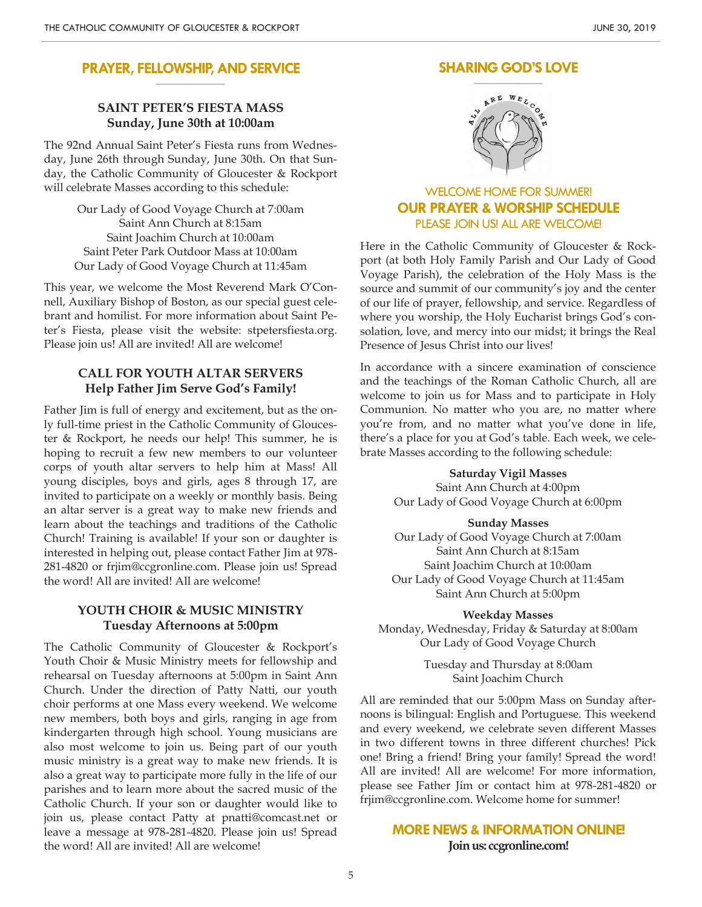#### **PRAYER, FELLOWSHIP, AND SERVICE \_\_\_\_\_\_\_\_\_\_\_\_\_\_\_\_\_\_\_\_**

### **SAINT PETER'S FIESTA MASS Sunday, June 30th at 10:00am**

The 92nd Annual Saint Peter's Fiesta runs from Wednesday, June 26th through Sunday, June 30th. On that Sunday, the Catholic Community of Gloucester & Rockport will celebrate Masses according to this schedule:

> Our Lady of Good Voyage Church at 7:00am Saint Ann Church at 8:15am Saint Joachim Church at 10:00am Saint Peter Park Outdoor Mass at 10:00am Our Lady of Good Voyage Church at 11:45am

This year, we welcome the Most Reverend Mark O'Connell, Auxiliary Bishop of Boston, as our special guest celebrant and homilist. For more information about Saint Peter's Fiesta, please visit the website: stpetersfiesta.org. Please join us! All are invited! All are welcome!

### **CALL FOR YOUTH ALTAR SERVERS Help Father Jim Serve God's Family!**

Father Jim is full of energy and excitement, but as the only full-time priest in the Catholic Community of Gloucester & Rockport, he needs our help! This summer, he is hoping to recruit a few new members to our volunteer corps of youth altar servers to help him at Mass! All young disciples, boys and girls, ages 8 through 17, are invited to participate on a weekly or monthly basis. Being an altar server is a great way to make new friends and learn about the teachings and traditions of the Catholic Church! Training is available! If your son or daughter is interested in helping out, please contact Father Jim at 978- 281-4820 or frjim@ccgronline.com. Please join us! Spread the word! All are invited! All are welcome!

### **YOUTH CHOIR & MUSIC MINISTRY Tuesday Afternoons at 5:00pm**

The Catholic Community of Gloucester & Rockport's Youth Choir & Music Ministry meets for fellowship and rehearsal on Tuesday afternoons at 5:00pm in Saint Ann Church. Under the direction of Patty Natti, our youth choir performs at one Mass every weekend. We welcome new members, both boys and girls, ranging in age from kindergarten through high school. Young musicians are also most welcome to join us. Being part of our youth music ministry is a great way to make new friends. It is also a great way to participate more fully in the life of our parishes and to learn more about the sacred music of the Catholic Church. If your son or daughter would like to join us, please contact Patty at pnatti@comcast.net or leave a message at 978-281-4820. Please join us! Spread the word! All are invited! All are welcome!

## **SHARING GOD'S LOVE**



## WELCOME HOME FOR SUMMER! **OUR PRAYER & WORSHIP SCHEDULE** PLEASE JOIN US! ALL ARE WELCOME!

Here in the Catholic Community of Gloucester & Rockport (at both Holy Family Parish and Our Lady of Good Voyage Parish), the celebration of the Holy Mass is the source and summit of our community's joy and the center of our life of prayer, fellowship, and service. Regardless of where you worship, the Holy Eucharist brings God's consolation, love, and mercy into our midst; it brings the Real Presence of Jesus Christ into our lives!

In accordance with a sincere examination of conscience and the teachings of the Roman Catholic Church, all are welcome to join us for Mass and to participate in Holy Communion. No matter who you are, no matter where you're from, and no matter what you've done in life, there's a place for you at God's table. Each week, we celebrate Masses according to the following schedule:

> **Saturday Vigil Masses** Saint Ann Church at 4:00pm Our Lady of Good Voyage Church at 6:00pm

#### **Sunday Masses**

Our Lady of Good Voyage Church at 7:00am Saint Ann Church at 8:15am Saint Joachim Church at 10:00am Our Lady of Good Voyage Church at 11:45am Saint Ann Church at 5:00pm

**Weekday Masses** Monday, Wednesday, Friday & Saturday at 8:00am Our Lady of Good Voyage Church

> Tuesday and Thursday at 8:00am Saint Joachim Church

All are reminded that our 5:00pm Mass on Sunday afternoons is bilingual: English and Portuguese. This weekend and every weekend, we celebrate seven different Masses in two different towns in three different churches! Pick one! Bring a friend! Bring your family! Spread the word! All are invited! All are welcome! For more information, please see Father Jim or contact him at 978-281-4820 or frjim@ccgronline.com. Welcome home for summer!

### **MORE NEWS & INFORMATION ONLINE! Join us: ccgronline.com!**